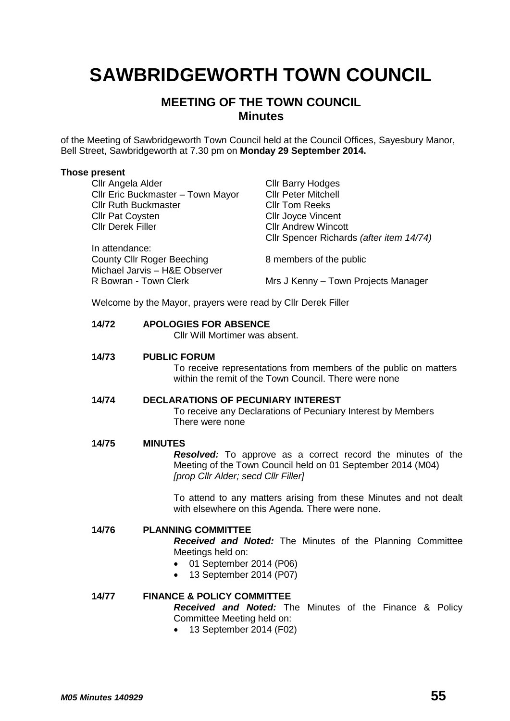# **SAWBRIDGEWORTH TOWN COUNCIL**

# **MEETING OF THE TOWN COUNCIL Minutes**

of the Meeting of Sawbridgeworth Town Council held at the Council Offices, Sayesbury Manor, Bell Street, Sawbridgeworth at 7.30 pm on **Monday 29 September 2014.**

#### **Those present**

| Cllr Angela Alder                                            | <b>CIIr Barry Hodges</b>                 |
|--------------------------------------------------------------|------------------------------------------|
| Cllr Eric Buckmaster - Town Mayor                            | <b>Cllr Peter Mitchell</b>               |
| <b>Cllr Ruth Buckmaster</b>                                  | <b>CIIr Tom Reeks</b>                    |
| <b>Cllr Pat Coysten</b>                                      | <b>CIIr Joyce Vincent</b>                |
| <b>Cllr Derek Filler</b>                                     | <b>CIIr Andrew Wincott</b>               |
|                                                              | Cllr Spencer Richards (after item 14/74) |
| In attendance:                                               |                                          |
| <b>County Cllr Roger Beeching</b>                            | 8 members of the public                  |
| Michael Jarvis - H&E Observer                                |                                          |
| R Bowran - Town Clerk                                        | Mrs J Kenny – Town Projects Manager      |
|                                                              |                                          |
| Welcome by the Mayor, prayers were read by Cllr Derek Filler |                                          |

## **14/72 APOLOGIES FOR ABSENCE**

Cllr Will Mortimer was absent.

## **14/73 PUBLIC FORUM**

To receive representations from members of the public on matters within the remit of the Town Council. There were none

## **14/74 DECLARATIONS OF PECUNIARY INTEREST**

To receive any Declarations of Pecuniary Interest by Members There were none

#### **14/75 MINUTES**

*Resolved:* To approve as a correct record the minutes of the Meeting of the Town Council held on 01 September 2014 (M04) *[prop Cllr Alder; secd Cllr Filler]*

To attend to any matters arising from these Minutes and not dealt with elsewhere on this Agenda. There were none.

## **14/76 PLANNING COMMITTEE**

*Received and Noted:* The Minutes of the Planning Committee Meetings held on:

- 01 September 2014 (P06)
- 13 September 2014 (P07)

## **14/77 FINANCE & POLICY COMMITTEE**

*Received and Noted:* The Minutes of the Finance & Policy Committee Meeting held on:

• 13 September 2014 (F02)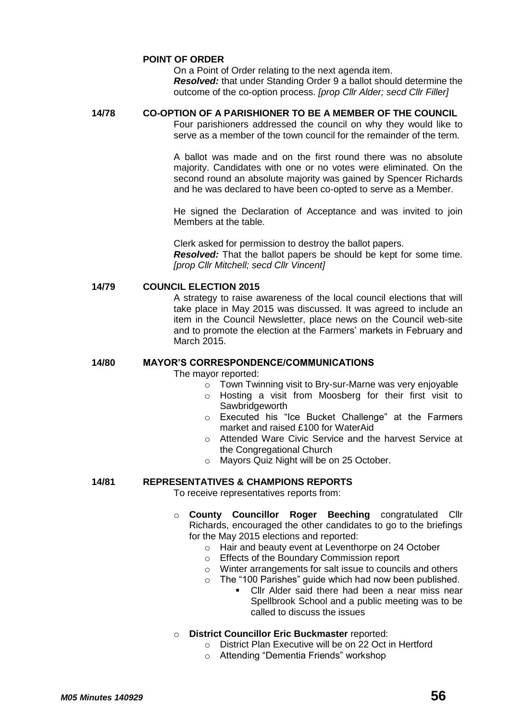## **POINT OF ORDER**

On a Point of Order relating to the next agenda item. *Resolved:* that under Standing Order 9 a ballot should determine the outcome of the co-option process. *[prop Cllr Alder; secd Cllr Filler]*

#### **14/78 CO-OPTION OF A PARISHIONER TO BE A MEMBER OF THE COUNCIL**

Four parishioners addressed the council on why they would like to serve as a member of the town council for the remainder of the term.

A ballot was made and on the first round there was no absolute majority. Candidates with one or no votes were eliminated. On the second round an absolute majority was gained by Spencer Richards and he was declared to have been co-opted to serve as a Member.

He signed the Declaration of Acceptance and was invited to join Members at the table.

Clerk asked for permission to destroy the ballot papers. *Resolved:* That the ballot papers be should be kept for some time. *[prop Cllr Mitchell; secd Cllr Vincent]*

## **14/79 COUNCIL ELECTION 2015**

A strategy to raise awareness of the local council elections that will take place in May 2015 was discussed. It was agreed to include an item in the Council Newsletter, place news on the Council web-site and to promote the election at the Farmers' markets in February and March 2015.

## **14/80 MAYOR'S CORRESPONDENCE/COMMUNICATIONS**

The mayor reported:

- o Town Twinning visit to Bry-sur-Marne was very enjoyable
- o Hosting a visit from Moosberg for their first visit to **Sawbridgeworth**
- o Executed his "Ice Bucket Challenge" at the Farmers market and raised £100 for WaterAid
- o Attended Ware Civic Service and the harvest Service at the Congregational Church
- o Mayors Quiz Night will be on 25 October.

## **14/81 REPRESENTATIVES & CHAMPIONS REPORTS**

To receive representatives reports from:

- o **County Councillor Roger Beeching** congratulated Cllr Richards, encouraged the other candidates to go to the briefings for the May 2015 elections and reported:
	- o Hair and beauty event at Leventhorpe on 24 October
	- o Effects of the Boundary Commission report
	- o Winter arrangements for salt issue to councils and others
	- o The "100 Parishes" guide which had now been published.
		- Cllr Alder said there had been a near miss near Spellbrook School and a public meeting was to be called to discuss the issues
- o **District Councillor Eric Buckmaster** reported:
	- o District Plan Executive will be on 22 Oct in Hertford
	- o Attending "Dementia Friends" workshop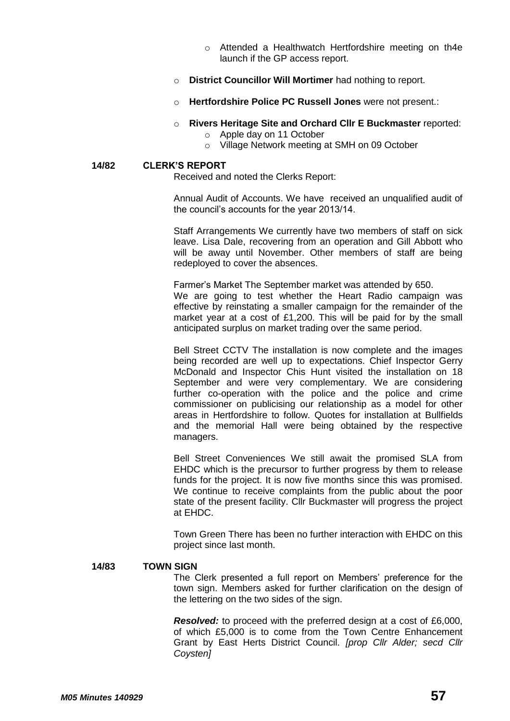- o Attended a Healthwatch Hertfordshire meeting on th4e launch if the GP access report.
- o **District Councillor Will Mortimer** had nothing to report.
- o **Hertfordshire Police PC Russell Jones** were not present.:

## o **Rivers Heritage Site and Orchard Cllr E Buckmaster** reported:

- o Apple day on 11 October
- o Village Network meeting at SMH on 09 October

#### **14/82 CLERK'S REPORT**

Received and noted the Clerks Report:

Annual Audit of Accounts. We have received an unqualified audit of the council's accounts for the year 2013/14.

Staff Arrangements We currently have two members of staff on sick leave. Lisa Dale, recovering from an operation and Gill Abbott who will be away until November. Other members of staff are being redeployed to cover the absences.

Farmer's Market The September market was attended by 650. We are going to test whether the Heart Radio campaign was effective by reinstating a smaller campaign for the remainder of the market year at a cost of £1,200. This will be paid for by the small anticipated surplus on market trading over the same period.

Bell Street CCTV The installation is now complete and the images being recorded are well up to expectations. Chief Inspector Gerry McDonald and Inspector Chis Hunt visited the installation on 18 September and were very complementary. We are considering further co-operation with the police and the police and crime commissioner on publicising our relationship as a model for other areas in Hertfordshire to follow. Quotes for installation at Bullfields and the memorial Hall were being obtained by the respective managers.

Bell Street Conveniences We still await the promised SLA from EHDC which is the precursor to further progress by them to release funds for the project. It is now five months since this was promised. We continue to receive complaints from the public about the poor state of the present facility. Cllr Buckmaster will progress the project at EHDC.

Town Green There has been no further interaction with EHDC on this project since last month.

#### **14/83 TOWN SIGN**

The Clerk presented a full report on Members' preference for the town sign. Members asked for further clarification on the design of the lettering on the two sides of the sign.

*Resolved:* to proceed with the preferred design at a cost of £6,000, of which £5,000 is to come from the Town Centre Enhancement Grant by East Herts District Council. *[prop Cllr Alder; secd Cllr Coysten]*